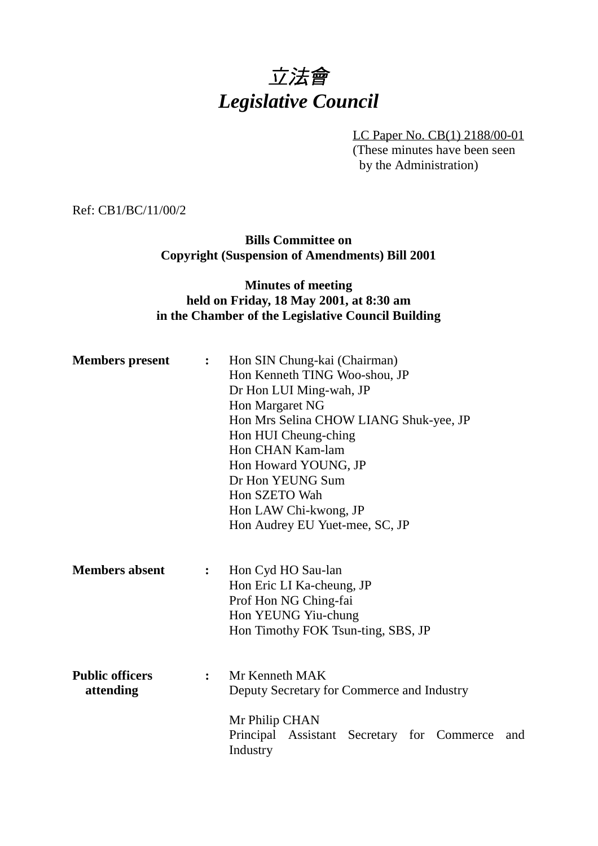# 立法會 *Legislative Council*

LC Paper No. CB(1) 2188/00-01 (These minutes have been seen by the Administration)

Ref: CB1/BC/11/00/2

**Bills Committee on Copyright (Suspension of Amendments) Bill 2001**

# **Minutes of meeting held on Friday, 18 May 2001, at 8:30 am in the Chamber of the Legislative Council Building**

| <b>Members</b> present              | $\ddot{\cdot}$ | Hon SIN Chung-kai (Chairman)<br>Hon Kenneth TING Woo-shou, JP<br>Dr Hon LUI Ming-wah, JP<br>Hon Margaret NG<br>Hon Mrs Selina CHOW LIANG Shuk-yee, JP<br>Hon HUI Cheung-ching<br>Hon CHAN Kam-lam<br>Hon Howard YOUNG, JP<br>Dr Hon YEUNG Sum<br>Hon SZETO Wah<br>Hon LAW Chi-kwong, JP<br>Hon Audrey EU Yuet-mee, SC, JP |
|-------------------------------------|----------------|---------------------------------------------------------------------------------------------------------------------------------------------------------------------------------------------------------------------------------------------------------------------------------------------------------------------------|
| <b>Members absent</b>               | $\ddot{\cdot}$ | Hon Cyd HO Sau-lan<br>Hon Eric LI Ka-cheung, JP<br>Prof Hon NG Ching-fai<br>Hon YEUNG Yiu-chung<br>Hon Timothy FOK Tsun-ting, SBS, JP                                                                                                                                                                                     |
| <b>Public officers</b><br>attending | $\ddot{\cdot}$ | Mr Kenneth MAK<br>Deputy Secretary for Commerce and Industry<br>Mr Philip CHAN<br>Principal Assistant<br>Secretary for Commerce<br>and<br>Industry                                                                                                                                                                        |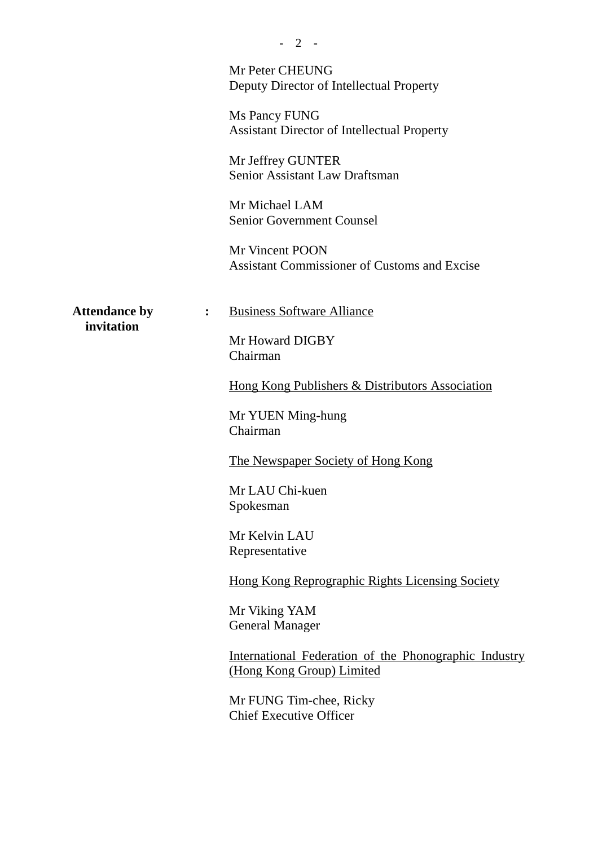|                                    | Mr Peter CHEUNG<br>Deputy Director of Intellectual Property                        |
|------------------------------------|------------------------------------------------------------------------------------|
|                                    | Ms Pancy FUNG<br><b>Assistant Director of Intellectual Property</b>                |
|                                    | Mr Jeffrey GUNTER<br>Senior Assistant Law Draftsman                                |
|                                    | Mr Michael LAM<br><b>Senior Government Counsel</b>                                 |
|                                    | Mr Vincent POON<br><b>Assistant Commissioner of Customs and Excise</b>             |
| <b>Attendance by</b><br>invitation | <b>Business Software Alliance</b><br>$\ddot{\cdot}$                                |
|                                    | Mr Howard DIGBY<br>Chairman                                                        |
|                                    | Hong Kong Publishers & Distributors Association                                    |
|                                    | Mr YUEN Ming-hung<br>Chairman                                                      |
|                                    | The Newspaper Society of Hong Kong                                                 |
|                                    | Mr LAU Chi-kuen<br>Spokesman                                                       |
|                                    | Mr Kelvin LAU<br>Representative                                                    |
|                                    | Hong Kong Reprographic Rights Licensing Society                                    |
|                                    | Mr Viking YAM<br><b>General Manager</b>                                            |
|                                    | International Federation of the Phonographic Industry<br>(Hong Kong Group) Limited |
|                                    | Mr FUNG Tim-chee, Ricky<br><b>Chief Executive Officer</b>                          |
|                                    |                                                                                    |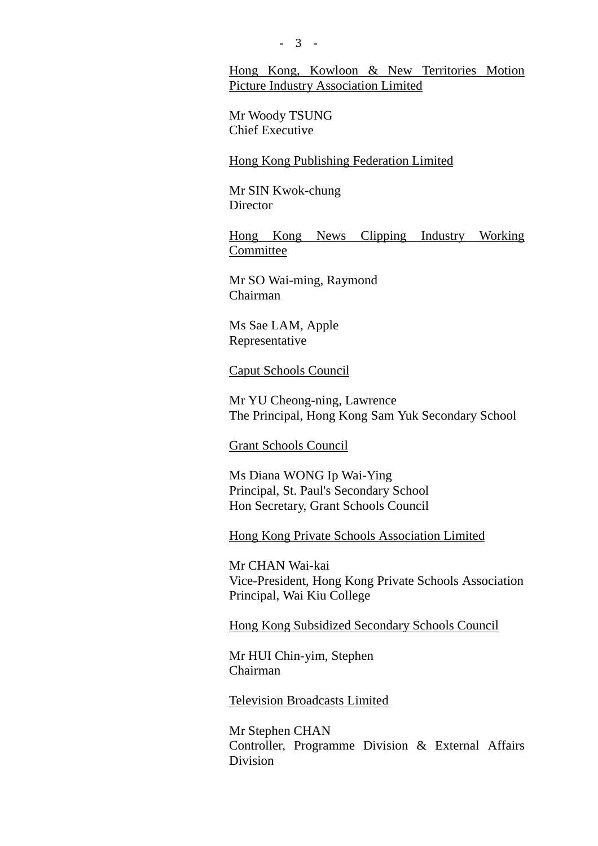## Hong Kong, Kowloon & New Territories Motion Picture Industry Association Limited

Mr Woody TSUNG Chief Executive

Hong Kong Publishing Federation Limited

Mr SIN Kwok-chung **Director** 

Hong Kong News Clipping Industry Working Committee

Mr SO Wai-ming, Raymond Chairman

Ms Sae LAM, Apple Representative

#### Caput Schools Council

Mr YU Cheong-ning, Lawrence The Principal, Hong Kong Sam Yuk Secondary School

#### Grant Schools Council

Ms Diana WONG Ip Wai-Ying Principal, St. Paul's Secondary School Hon Secretary, Grant Schools Council

Hong Kong Private Schools Association Limited

Mr CHAN Wai-kai Vice-President, Hong Kong Private Schools Association Principal, Wai Kiu College

Hong Kong Subsidized Secondary Schools Council

Mr HUI Chin-yim, Stephen Chairman

Television Broadcasts Limited

Mr Stephen CHAN Controller, Programme Division & External Affairs Division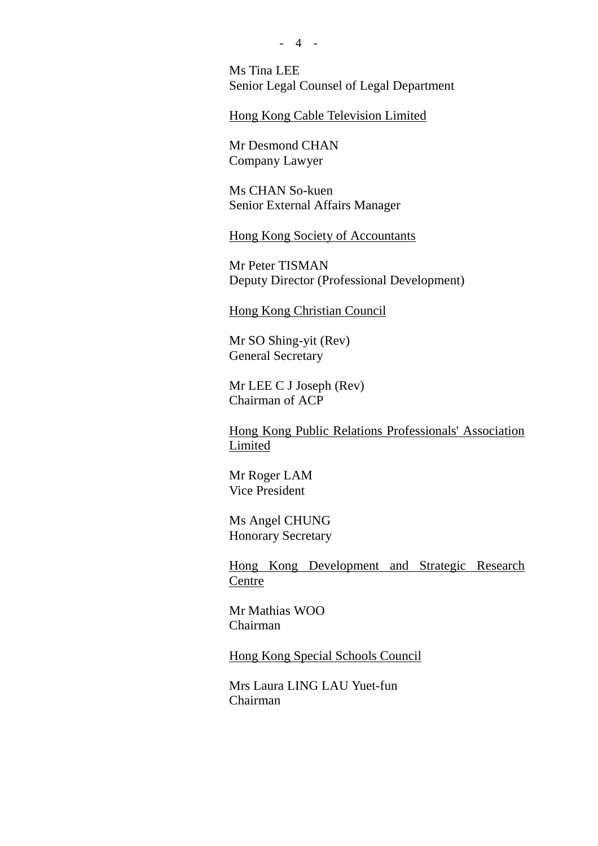Ms Tina LEE Senior Legal Counsel of Legal Department

#### Hong Kong Cable Television Limited

Mr Desmond CHAN Company Lawyer

Ms CHAN So-kuen Senior External Affairs Manager

Hong Kong Society of Accountants

Mr Peter TISMAN Deputy Director (Professional Development)

Hong Kong Christian Council

Mr SO Shing-yit (Rev) General Secretary

Mr LEE C J Joseph (Rev) Chairman of ACP

Hong Kong Public Relations Professionals' Association Limited

Mr Roger LAM Vice President

Ms Angel CHUNG Honorary Secretary

Hong Kong Development and Strategic Research Centre

Mr Mathias WOO Chairman

Hong Kong Special Schools Council

Mrs Laura LING LAU Yuet-fun Chairman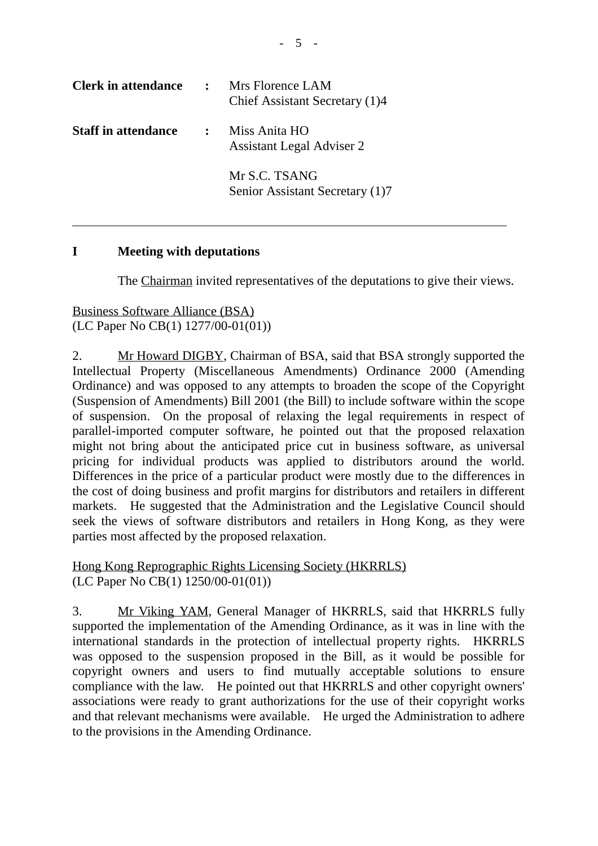| <b>Clerk in attendance</b> | $\mathbf{r}$ | Mrs Florence LAM<br>Chief Assistant Secretary (1)4 |
|----------------------------|--------------|----------------------------------------------------|
| <b>Staff in attendance</b> | $\mathbb{R}$ | Miss Anita HO<br><b>Assistant Legal Adviser 2</b>  |
|                            |              | Mr S.C. TSANG<br>Senior Assistant Secretary (1)7   |

## **I Meeting with deputations**

The Chairman invited representatives of the deputations to give their views.

Business Software Alliance (BSA) (LC Paper No CB(1) 1277/00-01(01))

2. Mr Howard DIGBY, Chairman of BSA, said that BSA strongly supported the Intellectual Property (Miscellaneous Amendments) Ordinance 2000 (Amending Ordinance) and was opposed to any attempts to broaden the scope of the Copyright (Suspension of Amendments) Bill 2001 (the Bill) to include software within the scope of suspension. On the proposal of relaxing the legal requirements in respect of parallel-imported computer software, he pointed out that the proposed relaxation might not bring about the anticipated price cut in business software, as universal pricing for individual products was applied to distributors around the world. Differences in the price of a particular product were mostly due to the differences in the cost of doing business and profit margins for distributors and retailers in different markets. He suggested that the Administration and the Legislative Council should seek the views of software distributors and retailers in Hong Kong, as they were parties most affected by the proposed relaxation.

Hong Kong Reprographic Rights Licensing Society (HKRRLS) (LC Paper No CB(1) 1250/00-01(01))

3. Mr Viking YAM, General Manager of HKRRLS, said that HKRRLS fully supported the implementation of the Amending Ordinance, as it was in line with the international standards in the protection of intellectual property rights. HKRRLS was opposed to the suspension proposed in the Bill, as it would be possible for copyright owners and users to find mutually acceptable solutions to ensure compliance with the law. He pointed out that HKRRLS and other copyright owners' associations were ready to grant authorizations for the use of their copyright works and that relevant mechanisms were available. He urged the Administration to adhere to the provisions in the Amending Ordinance.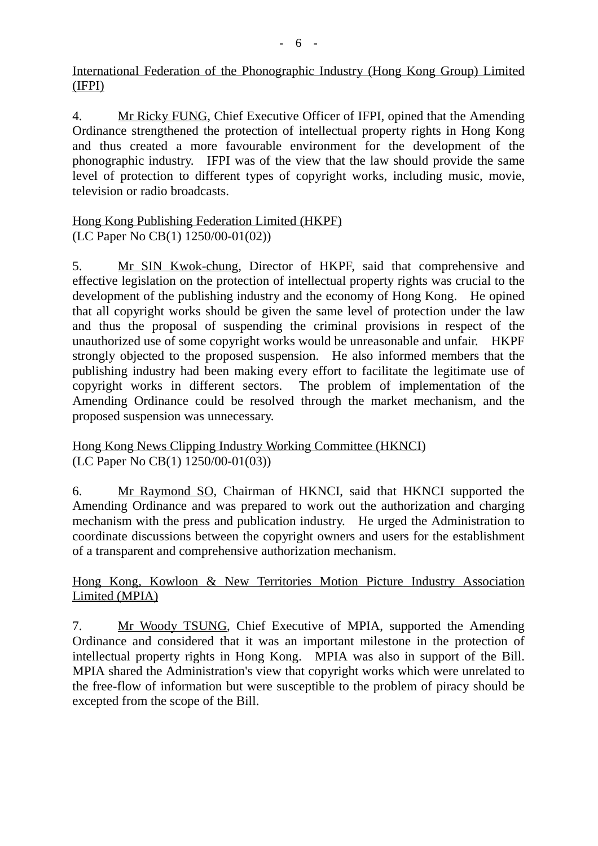## International Federation of the Phonographic Industry (Hong Kong Group) Limited (IFPI)

4. Mr Ricky FUNG, Chief Executive Officer of IFPI, opined that the Amending Ordinance strengthened the protection of intellectual property rights in Hong Kong and thus created a more favourable environment for the development of the phonographic industry. IFPI was of the view that the law should provide the same level of protection to different types of copyright works, including music, movie, television or radio broadcasts.

# Hong Kong Publishing Federation Limited (HKPF) (LC Paper No CB(1) 1250/00-01(02))

5. Mr SIN Kwok-chung, Director of HKPF, said that comprehensive and effective legislation on the protection of intellectual property rights was crucial to the development of the publishing industry and the economy of Hong Kong. He opined that all copyright works should be given the same level of protection under the law and thus the proposal of suspending the criminal provisions in respect of the unauthorized use of some copyright works would be unreasonable and unfair. HKPF strongly objected to the proposed suspension. He also informed members that the publishing industry had been making every effort to facilitate the legitimate use of copyright works in different sectors. The problem of implementation of the Amending Ordinance could be resolved through the market mechanism, and the proposed suspension was unnecessary.

Hong Kong News Clipping Industry Working Committee (HKNCI) (LC Paper No CB(1) 1250/00-01(03))

6. Mr Raymond SO, Chairman of HKNCI, said that HKNCI supported the Amending Ordinance and was prepared to work out the authorization and charging mechanism with the press and publication industry. He urged the Administration to coordinate discussions between the copyright owners and users for the establishment of a transparent and comprehensive authorization mechanism.

# Hong Kong, Kowloon & New Territories Motion Picture Industry Association Limited (MPIA)

7. Mr Woody TSUNG, Chief Executive of MPIA, supported the Amending Ordinance and considered that it was an important milestone in the protection of intellectual property rights in Hong Kong. MPIA was also in support of the Bill. MPIA shared the Administration's view that copyright works which were unrelated to the free-flow of information but were susceptible to the problem of piracy should be excepted from the scope of the Bill.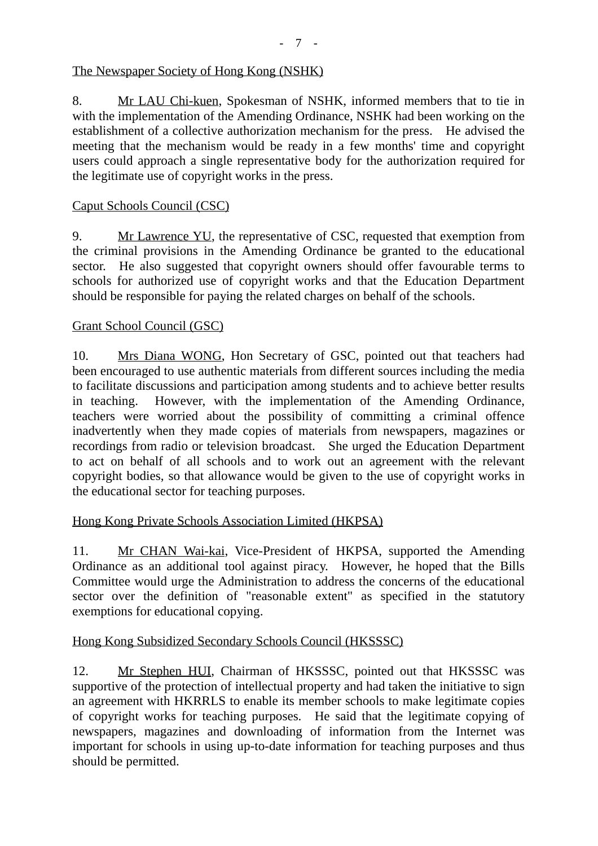# The Newspaper Society of Hong Kong (NSHK)

8. Mr LAU Chi-kuen, Spokesman of NSHK, informed members that to tie in with the implementation of the Amending Ordinance, NSHK had been working on the establishment of a collective authorization mechanism for the press. He advised the meeting that the mechanism would be ready in a few months' time and copyright users could approach a single representative body for the authorization required for the legitimate use of copyright works in the press.

## Caput Schools Council (CSC)

9. Mr Lawrence YU, the representative of CSC, requested that exemption from the criminal provisions in the Amending Ordinance be granted to the educational sector. He also suggested that copyright owners should offer favourable terms to schools for authorized use of copyright works and that the Education Department should be responsible for paying the related charges on behalf of the schools.

## Grant School Council (GSC)

10. Mrs Diana WONG, Hon Secretary of GSC, pointed out that teachers had been encouraged to use authentic materials from different sources including the media to facilitate discussions and participation among students and to achieve better results in teaching. However, with the implementation of the Amending Ordinance, teachers were worried about the possibility of committing a criminal offence inadvertently when they made copies of materials from newspapers, magazines or recordings from radio or television broadcast. She urged the Education Department to act on behalf of all schools and to work out an agreement with the relevant copyright bodies, so that allowance would be given to the use of copyright works in the educational sector for teaching purposes.

## Hong Kong Private Schools Association Limited (HKPSA)

11. Mr CHAN Wai-kai, Vice-President of HKPSA, supported the Amending Ordinance as an additional tool against piracy. However, he hoped that the Bills Committee would urge the Administration to address the concerns of the educational sector over the definition of "reasonable extent" as specified in the statutory exemptions for educational copying.

#### Hong Kong Subsidized Secondary Schools Council (HKSSSC)

12. Mr Stephen HUI, Chairman of HKSSSC, pointed out that HKSSSC was supportive of the protection of intellectual property and had taken the initiative to sign an agreement with HKRRLS to enable its member schools to make legitimate copies of copyright works for teaching purposes. He said that the legitimate copying of newspapers, magazines and downloading of information from the Internet was important for schools in using up-to-date information for teaching purposes and thus should be permitted.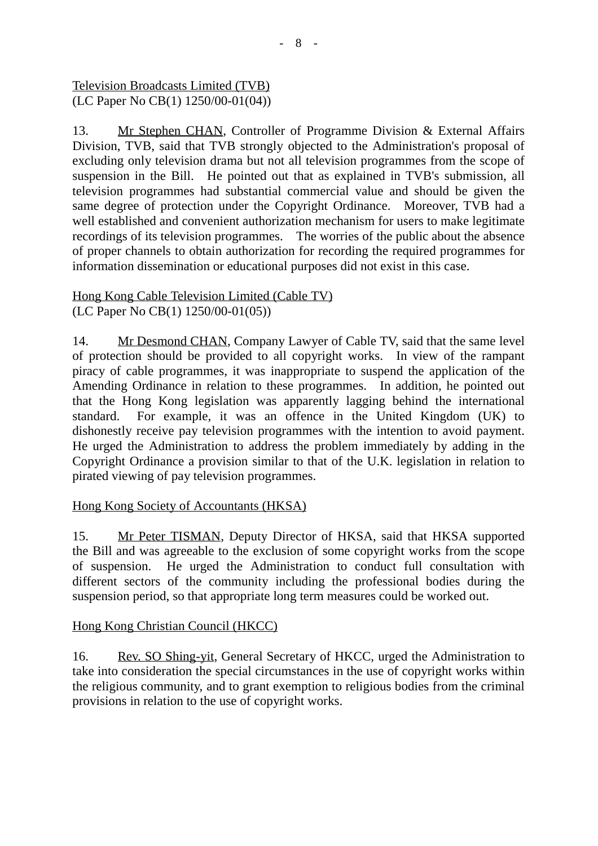Television Broadcasts Limited (TVB) (LC Paper No CB(1) 1250/00-01(04))

13. Mr Stephen CHAN, Controller of Programme Division & External Affairs Division, TVB, said that TVB strongly objected to the Administration's proposal of excluding only television drama but not all television programmes from the scope of suspension in the Bill. He pointed out that as explained in TVB's submission, all television programmes had substantial commercial value and should be given the same degree of protection under the Copyright Ordinance. Moreover, TVB had a well established and convenient authorization mechanism for users to make legitimate recordings of its television programmes. The worries of the public about the absence of proper channels to obtain authorization for recording the required programmes for information dissemination or educational purposes did not exist in this case.

# Hong Kong Cable Television Limited (Cable TV) (LC Paper No CB(1) 1250/00-01(05))

14. Mr Desmond CHAN, Company Lawyer of Cable TV, said that the same level of protection should be provided to all copyright works. In view of the rampant piracy of cable programmes, it was inappropriate to suspend the application of the Amending Ordinance in relation to these programmes. In addition, he pointed out that the Hong Kong legislation was apparently lagging behind the international standard. For example, it was an offence in the United Kingdom (UK) to dishonestly receive pay television programmes with the intention to avoid payment. He urged the Administration to address the problem immediately by adding in the Copyright Ordinance a provision similar to that of the U.K. legislation in relation to pirated viewing of pay television programmes.

# Hong Kong Society of Accountants (HKSA)

15. Mr Peter TISMAN, Deputy Director of HKSA, said that HKSA supported the Bill and was agreeable to the exclusion of some copyright works from the scope of suspension. He urged the Administration to conduct full consultation with different sectors of the community including the professional bodies during the suspension period, so that appropriate long term measures could be worked out.

# Hong Kong Christian Council (HKCC)

16. Rev. SO Shing-yit, General Secretary of HKCC, urged the Administration to take into consideration the special circumstances in the use of copyright works within the religious community, and to grant exemption to religious bodies from the criminal provisions in relation to the use of copyright works.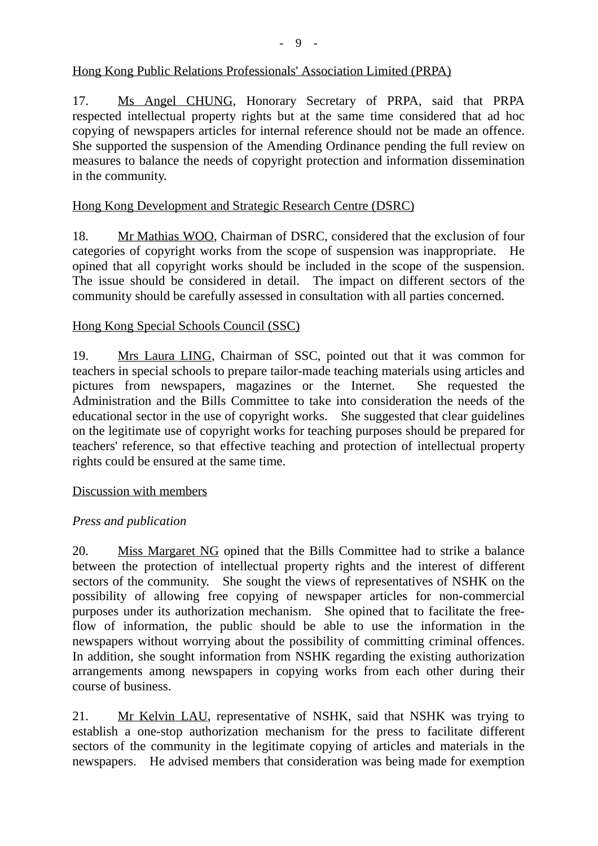# Hong Kong Public Relations Professionals' Association Limited (PRPA)

17. Ms Angel CHUNG, Honorary Secretary of PRPA, said that PRPA respected intellectual property rights but at the same time considered that ad hoc copying of newspapers articles for internal reference should not be made an offence. She supported the suspension of the Amending Ordinance pending the full review on measures to balance the needs of copyright protection and information dissemination in the community.

# Hong Kong Development and Strategic Research Centre (DSRC)

18. Mr Mathias WOO, Chairman of DSRC, considered that the exclusion of four categories of copyright works from the scope of suspension was inappropriate. He opined that all copyright works should be included in the scope of the suspension. The issue should be considered in detail. The impact on different sectors of the community should be carefully assessed in consultation with all parties concerned.

## Hong Kong Special Schools Council (SSC)

19. Mrs Laura LING, Chairman of SSC, pointed out that it was common for teachers in special schools to prepare tailor-made teaching materials using articles and pictures from newspapers, magazines or the Internet. She requested the Administration and the Bills Committee to take into consideration the needs of the educational sector in the use of copyright works. She suggested that clear guidelines on the legitimate use of copyright works for teaching purposes should be prepared for teachers' reference, so that effective teaching and protection of intellectual property rights could be ensured at the same time.

#### Discussion with members

## *Press and publication*

20. Miss Margaret NG opined that the Bills Committee had to strike a balance between the protection of intellectual property rights and the interest of different sectors of the community. She sought the views of representatives of NSHK on the possibility of allowing free copying of newspaper articles for non-commercial purposes under its authorization mechanism. She opined that to facilitate the freeflow of information, the public should be able to use the information in the newspapers without worrying about the possibility of committing criminal offences. In addition, she sought information from NSHK regarding the existing authorization arrangements among newspapers in copying works from each other during their course of business.

21. Mr Kelvin LAU, representative of NSHK, said that NSHK was trying to establish a one-stop authorization mechanism for the press to facilitate different sectors of the community in the legitimate copying of articles and materials in the newspapers. He advised members that consideration was being made for exemption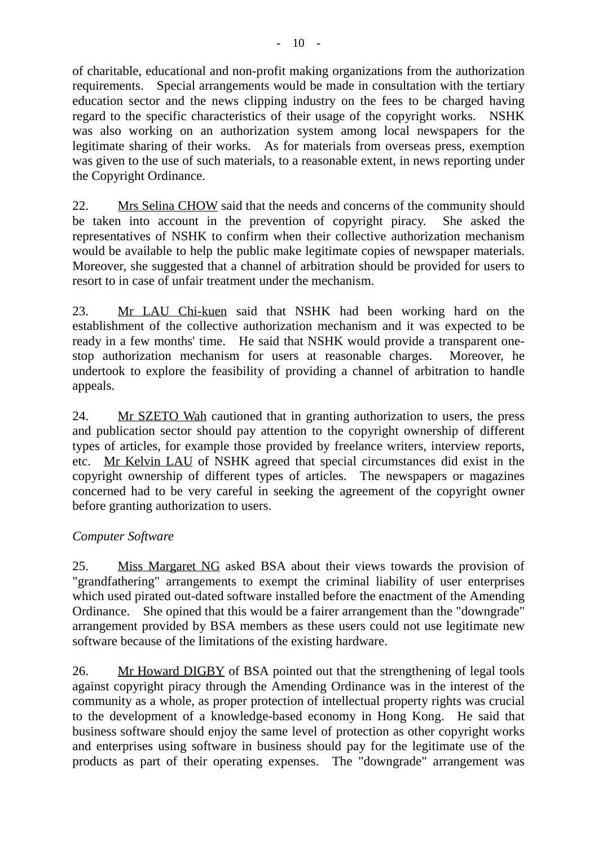of charitable, educational and non-profit making organizations from the authorization requirements. Special arrangements would be made in consultation with the tertiary education sector and the news clipping industry on the fees to be charged having regard to the specific characteristics of their usage of the copyright works. NSHK was also working on an authorization system among local newspapers for the legitimate sharing of their works. As for materials from overseas press, exemption was given to the use of such materials, to a reasonable extent, in news reporting under the Copyright Ordinance.

22. Mrs Selina CHOW said that the needs and concerns of the community should be taken into account in the prevention of copyright piracy. She asked the representatives of NSHK to confirm when their collective authorization mechanism would be available to help the public make legitimate copies of newspaper materials. Moreover, she suggested that a channel of arbitration should be provided for users to resort to in case of unfair treatment under the mechanism.

23. Mr LAU Chi-kuen said that NSHK had been working hard on the establishment of the collective authorization mechanism and it was expected to be ready in a few months' time. He said that NSHK would provide a transparent onestop authorization mechanism for users at reasonable charges. Moreover, he undertook to explore the feasibility of providing a channel of arbitration to handle appeals.

24. Mr SZETO Wah cautioned that in granting authorization to users, the press and publication sector should pay attention to the copyright ownership of different types of articles, for example those provided by freelance writers, interview reports, etc. Mr Kelvin LAU of NSHK agreed that special circumstances did exist in the copyright ownership of different types of articles. The newspapers or magazines concerned had to be very careful in seeking the agreement of the copyright owner before granting authorization to users.

# *Computer Software*

25. Miss Margaret NG asked BSA about their views towards the provision of "grandfathering" arrangements to exempt the criminal liability of user enterprises which used pirated out-dated software installed before the enactment of the Amending Ordinance. She opined that this would be a fairer arrangement than the "downgrade" arrangement provided by BSA members as these users could not use legitimate new software because of the limitations of the existing hardware.

26. Mr Howard DIGBY of BSA pointed out that the strengthening of legal tools against copyright piracy through the Amending Ordinance was in the interest of the community as a whole, as proper protection of intellectual property rights was crucial to the development of a knowledge-based economy in Hong Kong. He said that business software should enjoy the same level of protection as other copyright works and enterprises using software in business should pay for the legitimate use of the products as part of their operating expenses. The "downgrade" arrangement was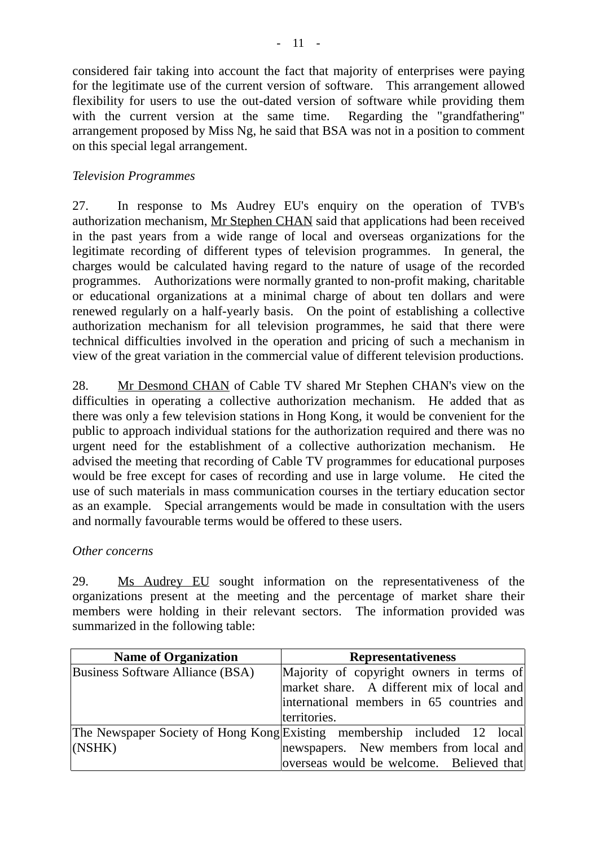considered fair taking into account the fact that majority of enterprises were paying for the legitimate use of the current version of software. This arrangement allowed flexibility for users to use the out-dated version of software while providing them with the current version at the same time. Regarding the "grandfathering" arrangement proposed by Miss Ng, he said that BSA was not in a position to comment on this special legal arrangement.

# *Television Programmes*

27. In response to Ms Audrey EU's enquiry on the operation of TVB's authorization mechanism, Mr Stephen CHAN said that applications had been received in the past years from a wide range of local and overseas organizations for the legitimate recording of different types of television programmes. In general, the charges would be calculated having regard to the nature of usage of the recorded programmes. Authorizations were normally granted to non-profit making, charitable or educational organizations at a minimal charge of about ten dollars and were renewed regularly on a half-yearly basis. On the point of establishing a collective authorization mechanism for all television programmes, he said that there were technical difficulties involved in the operation and pricing of such a mechanism in view of the great variation in the commercial value of different television productions.

28. Mr Desmond CHAN of Cable TV shared Mr Stephen CHAN's view on the difficulties in operating a collective authorization mechanism. He added that as there was only a few television stations in Hong Kong, it would be convenient for the public to approach individual stations for the authorization required and there was no urgent need for the establishment of a collective authorization mechanism. He advised the meeting that recording of Cable TV programmes for educational purposes would be free except for cases of recording and use in large volume. He cited the use of such materials in mass communication courses in the tertiary education sector as an example. Special arrangements would be made in consultation with the users and normally favourable terms would be offered to these users.

#### *Other concerns*

29. Ms Audrey EU sought information on the representativeness of the organizations present at the meeting and the percentage of market share their members were holding in their relevant sectors. The information provided was summarized in the following table:

| <b>Name of Organization</b>             | <b>Representativeness</b>                                                |
|-----------------------------------------|--------------------------------------------------------------------------|
| <b>Business Software Alliance (BSA)</b> | Majority of copyright owners in terms of                                 |
|                                         | market share. A different mix of local and                               |
|                                         | international members in 65 countries and                                |
|                                         | territories.                                                             |
|                                         | The Newspaper Society of Hong Kong Existing membership included 12 local |
| (NSHK)                                  | newspapers. New members from local and                                   |
|                                         | overseas would be welcome. Believed that                                 |